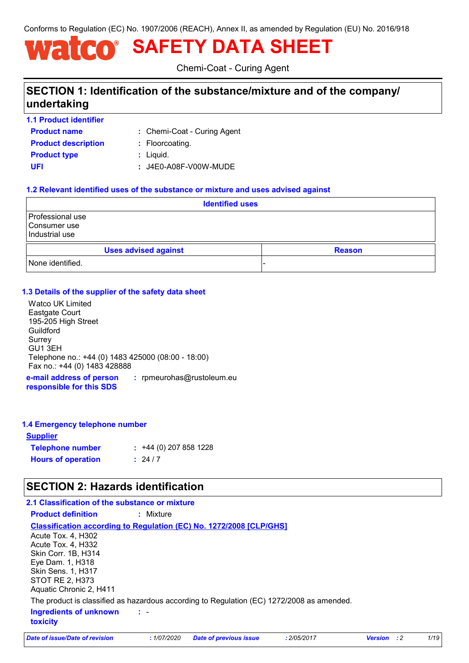Conforms to Regulation (EC) No. 1907/2006 (REACH), Annex II, as amended by Regulation (EU) No. 2016/918

# **SAFETY DATA SHEET**  $\bigcap$

Chemi-Coat - Curing Agent

# **SECTION 1: Identification of the substance/mixture and of the company/ undertaking**

- **1.1 Product identifier**
- **Product name Product description <b>:** Floorcoating.
	- Chemi-Coat Curing Agent **:**
- **Product type**  $\qquad$ **:** Liquid.
- -
- **UFI :** J4E0-A08F-V00W-MUDE

### **1.2 Relevant identified uses of the substance or mixture and uses advised against**

|                                                      |                             | <b>Identified uses</b> |               |
|------------------------------------------------------|-----------------------------|------------------------|---------------|
| Professional use<br>l Consumer use<br>Industrial use |                             |                        |               |
|                                                      | <b>Uses advised against</b> |                        | <b>Reason</b> |
| None identified.                                     |                             |                        |               |

### **1.3 Details of the supplier of the safety data sheet**

Watco UK Limited Eastgate Court 195-205 High Street **Guildford** Surrey GU1 3EH Telephone no.: +44 (0) 1483 425000 (08:00 - 18:00) Fax no.: +44 (0) 1483 428888

**e-mail address of person responsible for this SDS :** rpmeurohas@rustoleum.eu

### **1.4 Emergency telephone number**

| <u>Supplier</u>           |                         |
|---------------------------|-------------------------|
| <b>Telephone number</b>   | $: +44(0)$ 207 858 1228 |
| <b>Hours of operation</b> | : 24/7                  |

## **SECTION 2: Hazards identification**

### **2.1 Classification of the substance or mixture**

**Product definition :** Mixture

### **Classification according to Regulation (EC) No. 1272/2008 [CLP/GHS]**

| Acute Tox. 4, H302                                                                        |
|-------------------------------------------------------------------------------------------|
| Acute Tox. 4, H332                                                                        |
| Skin Corr. 1B, H314                                                                       |
| Eye Dam. 1, H318                                                                          |
| <b>Skin Sens. 1, H317</b>                                                                 |
| STOT RE 2, H373                                                                           |
| Aquatic Chronic 2, H411                                                                   |
| The product is classified as hazardous according to Regulation (EC) 1272/2008 as amended. |
| Ingredients of unknown<br>$\sim 100$                                                      |
| <b>toxicity</b>                                                                           |

*Date of issue/Date of revision* **:** *1/07/2020 Date of previous issue : 2/05/2017 Version : 2 1/19*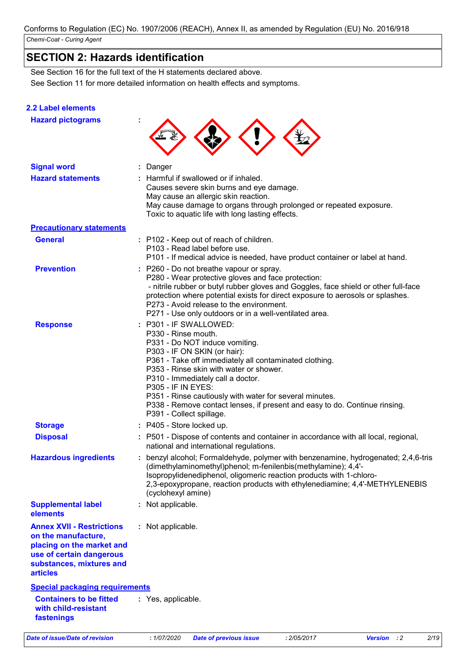# **SECTION 2: Hazards identification**

See Section 11 for more detailed information on health effects and symptoms. See Section 16 for the full text of the H statements declared above.

### **2.2 Label elements**

| <b>Hazard pictograms</b>                                                                                                                                        |                                                                                                                                                                                                                                                                                                                                                                                                                                                             |  |
|-----------------------------------------------------------------------------------------------------------------------------------------------------------------|-------------------------------------------------------------------------------------------------------------------------------------------------------------------------------------------------------------------------------------------------------------------------------------------------------------------------------------------------------------------------------------------------------------------------------------------------------------|--|
| <b>Signal word</b>                                                                                                                                              | : Danger                                                                                                                                                                                                                                                                                                                                                                                                                                                    |  |
| <b>Hazard statements</b>                                                                                                                                        | : Harmful if swallowed or if inhaled.<br>Causes severe skin burns and eye damage.<br>May cause an allergic skin reaction.<br>May cause damage to organs through prolonged or repeated exposure.<br>Toxic to aquatic life with long lasting effects.                                                                                                                                                                                                         |  |
| <b>Precautionary statements</b>                                                                                                                                 |                                                                                                                                                                                                                                                                                                                                                                                                                                                             |  |
| <b>General</b>                                                                                                                                                  | : P102 - Keep out of reach of children.<br>P103 - Read label before use.<br>P101 - If medical advice is needed, have product container or label at hand.                                                                                                                                                                                                                                                                                                    |  |
| <b>Prevention</b>                                                                                                                                               | : P260 - Do not breathe vapour or spray.<br>P280 - Wear protective gloves and face protection:<br>- nitrile rubber or butyl rubber gloves and Goggles, face shield or other full-face<br>protection where potential exists for direct exposure to aerosols or splashes.<br>P273 - Avoid release to the environment.<br>P271 - Use only outdoors or in a well-ventilated area.                                                                               |  |
| <b>Response</b>                                                                                                                                                 | : P301 - IF SWALLOWED:<br>P330 - Rinse mouth.<br>P331 - Do NOT induce vomiting.<br>P303 - IF ON SKIN (or hair):<br>P361 - Take off immediately all contaminated clothing.<br>P353 - Rinse skin with water or shower.<br>P310 - Immediately call a doctor.<br><b>P305 - IF IN EYES:</b><br>P351 - Rinse cautiously with water for several minutes.<br>P338 - Remove contact lenses, if present and easy to do. Continue rinsing.<br>P391 - Collect spillage. |  |
| <b>Storage</b>                                                                                                                                                  | : P405 - Store locked up.                                                                                                                                                                                                                                                                                                                                                                                                                                   |  |
| <b>Disposal</b>                                                                                                                                                 | : P501 - Dispose of contents and container in accordance with all local, regional,<br>national and international regulations.                                                                                                                                                                                                                                                                                                                               |  |
| <b>Hazardous ingredients</b>                                                                                                                                    | : benzyl alcohol; Formaldehyde, polymer with benzenamine, hydrogenated; 2,4,6-tris<br>(dimethylaminomethyl)phenol; m-fenilenbis(methylamine); 4,4'-<br>Isopropylidenediphenol, oligomeric reaction products with 1-chloro-<br>2,3-epoxypropane, reaction products with ethylenediamine; 4,4'-METHYLENEBIS<br>(cyclohexyl amine)                                                                                                                             |  |
| <b>Supplemental label</b><br>elements                                                                                                                           | : Not applicable.                                                                                                                                                                                                                                                                                                                                                                                                                                           |  |
| <b>Annex XVII - Restrictions</b><br>on the manufacture,<br>placing on the market and<br>use of certain dangerous<br>substances, mixtures and<br><b>articles</b> | : Not applicable.                                                                                                                                                                                                                                                                                                                                                                                                                                           |  |
| <b>Special packaging requirements</b>                                                                                                                           |                                                                                                                                                                                                                                                                                                                                                                                                                                                             |  |
| <b>Containers to be fitted</b><br>with child-resistant<br>fastenings                                                                                            | : Yes, applicable.                                                                                                                                                                                                                                                                                                                                                                                                                                          |  |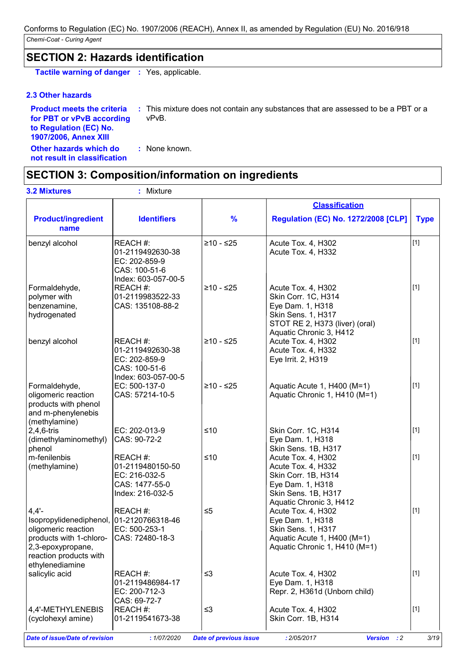## **SECTION 2: Hazards identification**

**Tactile warning of danger :** Yes, applicable.

### **2.3 Other hazards**

**Product meets the criteria for PBT or vPvB according to Regulation (EC) No. 1907/2006, Annex XIII**

**:** This mixture does not contain any substances that are assessed to be a PBT or a vPvB.

**Other hazards which do : not result in classification** : None known.

### **SECTION 3: Composition/information on ingredients**

**Product/ingredient Identifiers name** benzyl alcohol REACH #: 01-2119492630-38 EC: 202-859-9 CAS: 100-51-6 Index: 603-057-00-5  $≥10 - ≤25$  | Acute Tox. 4, H302 Acute Tox. 4, H332 [1] Formaldehyde, polymer with benzenamine, hydrogenated REACH #: 01-2119983522-33 CAS: 135108-88-2  $≥10 - ≤25$  | Acute Tox. 4, H302 Skin Corr. 1C, H314 Eye Dam. 1, H318 Skin Sens. 1, H317 STOT RE 2, H373 (liver) (oral) Aquatic Chronic 3, H412 [1] benzyl alcohol REACH #: 01-2119492630-38 EC: 202-859-9 CAS: 100-51-6 Index: 603-057-00-5  $≥10 - ≤25$  | Acute Tox. 4, H302 Acute Tox. 4, H332 Eye Irrit. 2, H319 [1] Formaldehyde, oligomeric reaction products with phenol and m-phenylenebis (methylamine) EC: 500-137-0 CAS: 57214-10-5  $≥10 - ≤25$  | Aquatic Acute 1, H400 (M=1) Aquatic Chronic 1, H410 (M=1) [1] 2,4,6-tris (dimethylaminomethyl) phenol EC: 202-013-9 CAS: 90-72-2 ≤10 Skin Corr. 1C, H314 Eye Dam. 1, H318 Skin Sens. 1B, H317 [1] m-fenilenbis (methylamine) REACH #: 01-2119480150-50 EC: 216-032-5 CAS: 1477-55-0 Index: 216-032-5  $≤10$   $|$  Acute Tox. 4, H302 Acute Tox. 4, H332 Skin Corr. 1B, H314 Eye Dam. 1, H318 Skin Sens. 1B, H317 Aquatic Chronic 3, H412 [1] 4,4'- Isopropylidenediphenol, 01-2120766318-46 oligomeric reaction products with 1-chloro-2,3-epoxypropane, reaction products with ethylenediamine REACH #: EC: 500-253-1 CAS: 72480-18-3 ≤5 Acute Tox. 4, H302 Eye Dam. 1, H318 Skin Sens. 1, H317 Aquatic Acute 1, H400 (M=1) Aquatic Chronic 1, H410 (M=1) [1] salicylic acid REACH #: 01-2119486984-17 EC: 200-712-3 CAS: 69-72-7  $≤3$  Acute Tox. 4, H302 Eye Dam. 1, H318 Repr. 2, H361d (Unborn child) [1] **% Regulation (EC) No. 1272/2008 [CLP] Type Classification 3.2 Mixtures :** Mixture

*Date of issue/Date of revision* **:** *1/07/2020 Date of previous issue : 2/05/2017 Version : 2 3/19*

REACH #:

01-2119541673-38

4,4'-METHYLENEBIS (cyclohexyl amine)

|  |  | e of previous issue |  |
|--|--|---------------------|--|
|  |  |                     |  |

 $≤3$  Acute Tox. 4, H302

Skin Corr. 1B, H314

[1]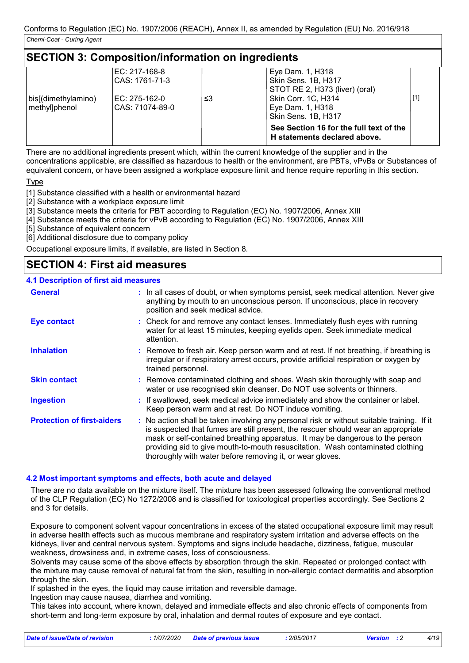### **SECTION 3: Composition/information on ingredients**

|                     | EC: 217-168-8   |    | Eye Dam. 1, H318                                                        |       |
|---------------------|-----------------|----|-------------------------------------------------------------------------|-------|
|                     | ICAS: 1761-71-3 |    | Skin Sens. 1B, H317                                                     |       |
|                     |                 |    | STOT RE 2, H373 (liver) (oral)                                          |       |
| bis[(dimethylamino) | IEC: 275-162-0  | ≤3 | Skin Corr. 1C, H314                                                     | $[1]$ |
| methyllphenol       | CAS: 71074-89-0 |    | Eye Dam. 1, H318                                                        |       |
|                     |                 |    | Skin Sens. 1B, H317                                                     |       |
|                     |                 |    | See Section 16 for the full text of the<br>H statements declared above. |       |

There are no additional ingredients present which, within the current knowledge of the supplier and in the concentrations applicable, are classified as hazardous to health or the environment, are PBTs, vPvBs or Substances of equivalent concern, or have been assigned a workplace exposure limit and hence require reporting in this section.

Type

[1] Substance classified with a health or environmental hazard

[2] Substance with a workplace exposure limit

[3] Substance meets the criteria for PBT according to Regulation (EC) No. 1907/2006, Annex XIII

[4] Substance meets the criteria for vPvB according to Regulation (EC) No. 1907/2006, Annex XIII

[5] Substance of equivalent concern

[6] Additional disclosure due to company policy

Occupational exposure limits, if available, are listed in Section 8.

## **SECTION 4: First aid measures**

#### **4.1 Description of first aid measures**

| <b>General</b>                    | : In all cases of doubt, or when symptoms persist, seek medical attention. Never give<br>anything by mouth to an unconscious person. If unconscious, place in recovery<br>position and seek medical advice.                                                                                                                                                                                                     |
|-----------------------------------|-----------------------------------------------------------------------------------------------------------------------------------------------------------------------------------------------------------------------------------------------------------------------------------------------------------------------------------------------------------------------------------------------------------------|
| <b>Eye contact</b>                | : Check for and remove any contact lenses. Immediately flush eyes with running<br>water for at least 15 minutes, keeping eyelids open. Seek immediate medical<br>attention.                                                                                                                                                                                                                                     |
| <b>Inhalation</b>                 | : Remove to fresh air. Keep person warm and at rest. If not breathing, if breathing is<br>irregular or if respiratory arrest occurs, provide artificial respiration or oxygen by<br>trained personnel.                                                                                                                                                                                                          |
| <b>Skin contact</b>               | : Remove contaminated clothing and shoes. Wash skin thoroughly with soap and<br>water or use recognised skin cleanser. Do NOT use solvents or thinners.                                                                                                                                                                                                                                                         |
| <b>Ingestion</b>                  | : If swallowed, seek medical advice immediately and show the container or label.<br>Keep person warm and at rest. Do NOT induce vomiting.                                                                                                                                                                                                                                                                       |
| <b>Protection of first-aiders</b> | : No action shall be taken involving any personal risk or without suitable training. If it<br>is suspected that fumes are still present, the rescuer should wear an appropriate<br>mask or self-contained breathing apparatus. It may be dangerous to the person<br>providing aid to give mouth-to-mouth resuscitation. Wash contaminated clothing<br>thoroughly with water before removing it, or wear gloves. |

### **4.2 Most important symptoms and effects, both acute and delayed**

There are no data available on the mixture itself. The mixture has been assessed following the conventional method of the CLP Regulation (EC) No 1272/2008 and is classified for toxicological properties accordingly. See Sections 2 and 3 for details.

Exposure to component solvent vapour concentrations in excess of the stated occupational exposure limit may result in adverse health effects such as mucous membrane and respiratory system irritation and adverse effects on the kidneys, liver and central nervous system. Symptoms and signs include headache, dizziness, fatigue, muscular weakness, drowsiness and, in extreme cases, loss of consciousness.

Solvents may cause some of the above effects by absorption through the skin. Repeated or prolonged contact with the mixture may cause removal of natural fat from the skin, resulting in non-allergic contact dermatitis and absorption through the skin.

If splashed in the eyes, the liquid may cause irritation and reversible damage.

Ingestion may cause nausea, diarrhea and vomiting.

This takes into account, where known, delayed and immediate effects and also chronic effects of components from short-term and long-term exposure by oral, inhalation and dermal routes of exposure and eye contact.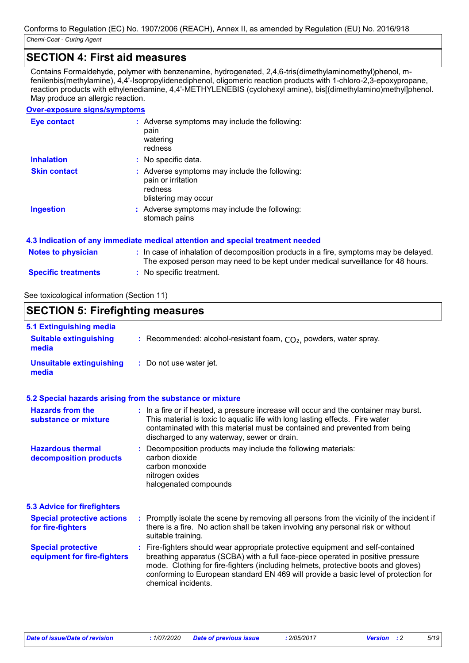### **SECTION 4: First aid measures**

Contains Formaldehyde, polymer with benzenamine, hydrogenated, 2,4,6-tris(dimethylaminomethyl)phenol, mfenilenbis(methylamine), 4,4'-Isopropylidenediphenol, oligomeric reaction products with 1-chloro-2,3-epoxypropane, reaction products with ethylenediamine, 4,4'-METHYLENEBIS (cyclohexyl amine), bis[(dimethylamino)methyl]phenol. May produce an allergic reaction.

### **Over-exposure signs/symptoms**

| <b>Eye contact</b>  | : Adverse symptoms may include the following:<br>pain<br>watering<br>redness                           |
|---------------------|--------------------------------------------------------------------------------------------------------|
| <b>Inhalation</b>   | : No specific data.                                                                                    |
| <b>Skin contact</b> | : Adverse symptoms may include the following:<br>pain or irritation<br>redness<br>blistering may occur |
| <b>Ingestion</b>    | : Adverse symptoms may include the following:<br>stomach pains                                         |

|                            | 4.3 Indication of any immediate medical attention and special treatment needed                                                                                           |
|----------------------------|--------------------------------------------------------------------------------------------------------------------------------------------------------------------------|
| <b>Notes to physician</b>  | : In case of inhalation of decomposition products in a fire, symptoms may be delayed.<br>The exposed person may need to be kept under medical surveillance for 48 hours. |
| <b>Specific treatments</b> | : No specific treatment.                                                                                                                                                 |

See toxicological information (Section 11)

#### **SECTION 5: Firefighting measures** Recommended: alcohol-resistant foam, CO₂, powders, water spray. **: :** Do not use water jet. **Hazardous thermal decomposition products Hazards from the substance or mixture Special protective equipment for fire-fighters 5.1 Extinguishing media :** In a fire or if heated, a pressure increase will occur and the container may burst. **:** Decomposition products may include the following materials: **:** Fire-fighters should wear appropriate protective equipment and self-contained **Suitable extinguishing media Unsuitable extinguishing media 5.2 Special hazards arising from the substance or mixture 5.3 Advice for firefighters Special protective actions for fire-fighters :** Promptly isolate the scene by removing all persons from the vicinity of the incident if This material is toxic to aquatic life with long lasting effects. Fire water contaminated with this material must be contained and prevented from being discharged to any waterway, sewer or drain. there is a fire. No action shall be taken involving any personal risk or without suitable training. breathing apparatus (SCBA) with a full face-piece operated in positive pressure mode. Clothing for fire-fighters (including helmets, protective boots and gloves) conforming to European standard EN 469 will provide a basic level of protection for chemical incidents. carbon dioxide carbon monoxide nitrogen oxides halogenated compounds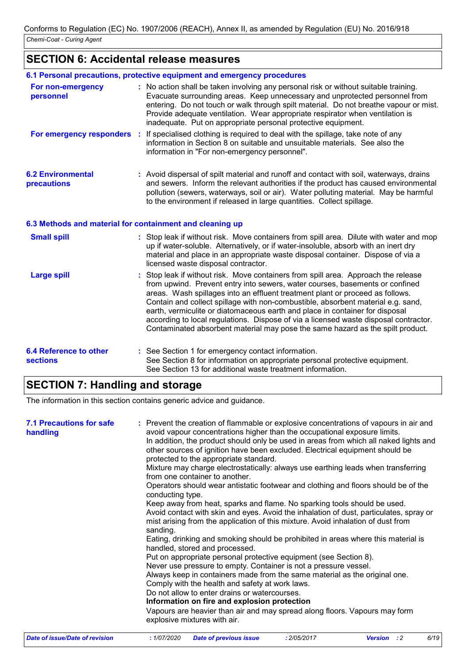# **SECTION 6: Accidental release measures**

|                                                  | 6.1 Personal precautions, protective equipment and emergency procedures                                                                                                                                                                                                                                                                                                                                                                                                                                                                                                                         |
|--------------------------------------------------|-------------------------------------------------------------------------------------------------------------------------------------------------------------------------------------------------------------------------------------------------------------------------------------------------------------------------------------------------------------------------------------------------------------------------------------------------------------------------------------------------------------------------------------------------------------------------------------------------|
| For non-emergency<br>personnel                   | : No action shall be taken involving any personal risk or without suitable training.<br>Evacuate surrounding areas. Keep unnecessary and unprotected personnel from<br>entering. Do not touch or walk through spilt material. Do not breathe vapour or mist.<br>Provide adequate ventilation. Wear appropriate respirator when ventilation is<br>inadequate. Put on appropriate personal protective equipment.                                                                                                                                                                                  |
| For emergency responders :                       | If specialised clothing is required to deal with the spillage, take note of any<br>information in Section 8 on suitable and unsuitable materials. See also the<br>information in "For non-emergency personnel".                                                                                                                                                                                                                                                                                                                                                                                 |
| <b>6.2 Environmental</b><br>precautions          | : Avoid dispersal of spilt material and runoff and contact with soil, waterways, drains<br>and sewers. Inform the relevant authorities if the product has caused environmental<br>pollution (sewers, waterways, soil or air). Water polluting material. May be harmful<br>to the environment if released in large quantities. Collect spillage.                                                                                                                                                                                                                                                 |
|                                                  | 6.3 Methods and material for containment and cleaning up                                                                                                                                                                                                                                                                                                                                                                                                                                                                                                                                        |
| <b>Small spill</b>                               | : Stop leak if without risk. Move containers from spill area. Dilute with water and mop<br>up if water-soluble. Alternatively, or if water-insoluble, absorb with an inert dry<br>material and place in an appropriate waste disposal container. Dispose of via a<br>licensed waste disposal contractor.                                                                                                                                                                                                                                                                                        |
| <b>Large spill</b>                               | Stop leak if without risk. Move containers from spill area. Approach the release<br>from upwind. Prevent entry into sewers, water courses, basements or confined<br>areas. Wash spillages into an effluent treatment plant or proceed as follows.<br>Contain and collect spillage with non-combustible, absorbent material e.g. sand,<br>earth, vermiculite or diatomaceous earth and place in container for disposal<br>according to local regulations. Dispose of via a licensed waste disposal contractor.<br>Contaminated absorbent material may pose the same hazard as the spilt product. |
| <b>6.4 Reference to other</b><br><b>sections</b> | : See Section 1 for emergency contact information.<br>See Section 8 for information on appropriate personal protective equipment.<br>See Section 13 for additional waste treatment information.                                                                                                                                                                                                                                                                                                                                                                                                 |

# **SECTION 7: Handling and storage**

The information in this section contains generic advice and guidance.

| <b>7.1 Precautions for safe</b><br>handling | : Prevent the creation of flammable or explosive concentrations of vapours in air and<br>avoid vapour concentrations higher than the occupational exposure limits.<br>In addition, the product should only be used in areas from which all naked lights and<br>other sources of ignition have been excluded. Electrical equipment should be<br>protected to the appropriate standard.<br>Mixture may charge electrostatically: always use earthing leads when transferring<br>from one container to another.<br>Operators should wear antistatic footwear and clothing and floors should be of the<br>conducting type.<br>Keep away from heat, sparks and flame. No sparking tools should be used.<br>Avoid contact with skin and eyes. Avoid the inhalation of dust, particulates, spray or<br>mist arising from the application of this mixture. Avoid inhalation of dust from<br>sanding.<br>Eating, drinking and smoking should be prohibited in areas where this material is<br>handled, stored and processed.<br>Put on appropriate personal protective equipment (see Section 8).<br>Never use pressure to empty. Container is not a pressure vessel.<br>Always keep in containers made from the same material as the original one.<br>Comply with the health and safety at work laws.<br>Do not allow to enter drains or watercourses.<br>Information on fire and explosion protection<br>Vapours are heavier than air and may spread along floors. Vapours may form<br>explosive mixtures with air. |
|---------------------------------------------|--------------------------------------------------------------------------------------------------------------------------------------------------------------------------------------------------------------------------------------------------------------------------------------------------------------------------------------------------------------------------------------------------------------------------------------------------------------------------------------------------------------------------------------------------------------------------------------------------------------------------------------------------------------------------------------------------------------------------------------------------------------------------------------------------------------------------------------------------------------------------------------------------------------------------------------------------------------------------------------------------------------------------------------------------------------------------------------------------------------------------------------------------------------------------------------------------------------------------------------------------------------------------------------------------------------------------------------------------------------------------------------------------------------------------------------------------------------------------------------------------------------|
| <b>Date of issue/Date of revision</b>       | 6/19<br>:1/07/2020<br><b>Date of previous issue</b><br>: 2/05/2017<br><b>Version</b> : 2                                                                                                                                                                                                                                                                                                                                                                                                                                                                                                                                                                                                                                                                                                                                                                                                                                                                                                                                                                                                                                                                                                                                                                                                                                                                                                                                                                                                                     |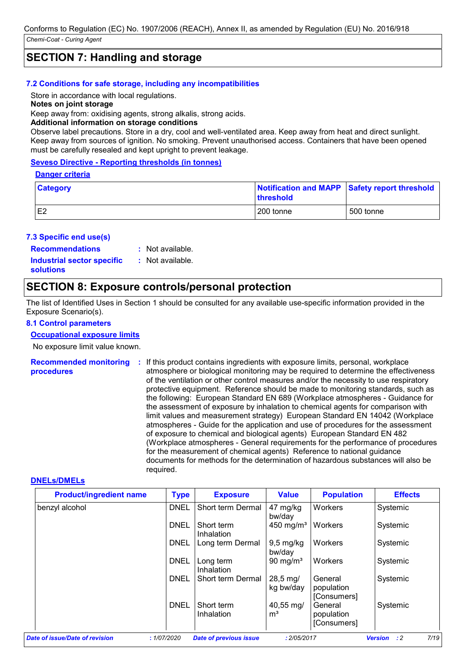### **SECTION 7: Handling and storage**

#### **7.2 Conditions for safe storage, including any incompatibilities**

Store in accordance with local regulations.

**Notes on joint storage**

Keep away from: oxidising agents, strong alkalis, strong acids.

#### **Additional information on storage conditions**

Observe label precautions. Store in a dry, cool and well-ventilated area. Keep away from heat and direct sunlight. Keep away from sources of ignition. No smoking. Prevent unauthorised access. Containers that have been opened must be carefully resealed and kept upright to prevent leakage.

### **Seveso Directive - Reporting thresholds (in tonnes)**

#### **Danger criteria**

| <b>Category</b> | threshold | Notification and MAPP Safety report threshold |
|-----------------|-----------|-----------------------------------------------|
| E <sub>2</sub>  | 200 tonne | 500 tonne                                     |

#### **7.3 Specific end use(s)**

**Recommendations :**

: Not available.

**Industrial sector specific : solutions**

: Not available.

### **SECTION 8: Exposure controls/personal protection**

The list of Identified Uses in Section 1 should be consulted for any available use-specific information provided in the Exposure Scenario(s).

#### **8.1 Control parameters**

#### **Occupational exposure limits**

No exposure limit value known.

**Recommended monitoring procedures :** If this product contains ingredients with exposure limits, personal, workplace atmosphere or biological monitoring may be required to determine the effectiveness of the ventilation or other control measures and/or the necessity to use respiratory protective equipment. Reference should be made to monitoring standards, such as the following: European Standard EN 689 (Workplace atmospheres - Guidance for the assessment of exposure by inhalation to chemical agents for comparison with limit values and measurement strategy) European Standard EN 14042 (Workplace atmospheres - Guide for the application and use of procedures for the assessment of exposure to chemical and biological agents) European Standard EN 482 (Workplace atmospheres - General requirements for the performance of procedures for the measurement of chemical agents) Reference to national guidance documents for methods for the determination of hazardous substances will also be required.

#### **DNELs/DMELs**

| <b>Product/ingredient name</b> | <b>Type</b> | <b>Exposure</b>               | <b>Value</b>                      | <b>Population</b>                    | <b>Effects</b>                        |
|--------------------------------|-------------|-------------------------------|-----------------------------------|--------------------------------------|---------------------------------------|
| benzyl alcohol                 | <b>DNEL</b> | Short term Dermal             | 47 mg/kg<br>bw/day                | Workers                              | Systemic                              |
|                                | <b>DNEL</b> | Short term<br>Inhalation      | $450 \text{ mg/m}^3$              | Workers                              | Systemic                              |
|                                | <b>DNEL</b> | Long term Dermal              | $9,5$ mg/kg<br>bw/day             | Workers                              | Systemic                              |
|                                | <b>DNEL</b> | Long term<br>Inhalation       | 90 mg/m <sup>3</sup>              | Workers                              | Systemic                              |
|                                | <b>DNEL</b> | Short term Dermal             | $28,5 \,\mathrm{mg}$<br>kg bw/day | General<br>population<br>[Consumers] | Systemic                              |
|                                | <b>DNEL</b> | Short term<br>Inhalation      | 40,55 mg/<br>m <sup>3</sup>       | General<br>population<br>[Consumers] | Systemic                              |
| Date of issue/Date of revision | :1/07/2020  | <b>Date of previous issue</b> | : 2/05/2017                       |                                      | 7/19<br>$\cdot$ : 2<br><b>Version</b> |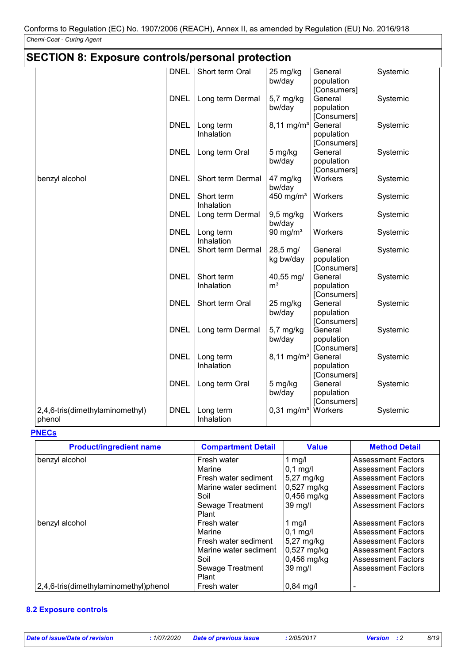| <b>SECTION 8: Exposure controls/personal protection</b> |             |                          |                             |                                      |          |
|---------------------------------------------------------|-------------|--------------------------|-----------------------------|--------------------------------------|----------|
|                                                         | <b>DNEL</b> | Short term Oral          | 25 mg/kg<br>bw/day          | General<br>population<br>[Consumers] | Systemic |
|                                                         | <b>DNEL</b> | Long term Dermal         | 5,7 mg/kg<br>bw/day         | General<br>population<br>[Consumers] | Systemic |
|                                                         | <b>DNEL</b> | Long term<br>Inhalation  | 8,11 mg/m <sup>3</sup>      | General<br>population<br>[Consumers] | Systemic |
|                                                         | <b>DNEL</b> | Long term Oral           | 5 mg/kg<br>bw/day           | General<br>population<br>[Consumers] | Systemic |
| benzyl alcohol                                          | <b>DNEL</b> | Short term Dermal        | 47 mg/kg<br>bw/day          | Workers                              | Systemic |
|                                                         | <b>DNEL</b> | Short term<br>Inhalation | 450 mg/ $m3$                | Workers                              | Systemic |
|                                                         | <b>DNEL</b> | Long term Dermal         | $9,5$ mg/kg<br>bw/day       | Workers                              | Systemic |
|                                                         | <b>DNEL</b> | Long term<br>Inhalation  | 90 mg/ $m3$                 | Workers                              | Systemic |
|                                                         | <b>DNEL</b> | Short term Dermal        | 28,5 mg/<br>kg bw/day       | General<br>population<br>[Consumers] | Systemic |
|                                                         | <b>DNEL</b> | Short term<br>Inhalation | 40,55 mg/<br>m <sup>3</sup> | General<br>population<br>[Consumers] | Systemic |
|                                                         | <b>DNEL</b> | Short term Oral          | 25 mg/kg<br>bw/day          | General<br>population<br>[Consumers] | Systemic |
|                                                         | <b>DNEL</b> | Long term Dermal         | 5,7 mg/kg<br>bw/day         | General<br>population<br>[Consumers] | Systemic |
|                                                         | <b>DNEL</b> | Long term<br>Inhalation  | $8,11 \, \text{mg/m}^3$     | General<br>population<br>[Consumers] | Systemic |
|                                                         | <b>DNEL</b> | Long term Oral           | 5 mg/kg<br>bw/day           | General<br>population<br>[Consumers] | Systemic |
| 2,4,6-tris(dimethylaminomethyl)<br>phenol               | <b>DNEL</b> | Long term<br>Inhalation  | $0,31$ mg/m <sup>3</sup>    | Workers                              | Systemic |

#### **PNECs**

| <b>Product/ingredient name</b>        | <b>Compartment Detail</b> | <b>Value</b>         | <b>Method Detail</b>      |
|---------------------------------------|---------------------------|----------------------|---------------------------|
| benzyl alcohol                        | Fresh water               | 1 mg/l               | <b>Assessment Factors</b> |
|                                       | Marine                    | $ 0,1 \text{ mg}/I $ | <b>Assessment Factors</b> |
|                                       | Fresh water sediment      | 5,27 mg/kg           | <b>Assessment Factors</b> |
|                                       | Marine water sediment     | $0,527$ mg/kg        | <b>Assessment Factors</b> |
|                                       | Soil                      | 0,456 mg/kg          | <b>Assessment Factors</b> |
|                                       | Sewage Treatment          | 39 mg/l              | <b>Assessment Factors</b> |
|                                       | Plant                     |                      |                           |
| benzyl alcohol                        | Fresh water               | 1 mg/l               | <b>Assessment Factors</b> |
|                                       | Marine                    | $0,1$ mg/l           | <b>Assessment Factors</b> |
|                                       | Fresh water sediment      | 5,27 mg/kg           | <b>Assessment Factors</b> |
|                                       | Marine water sediment     | 0,527 mg/kg          | <b>Assessment Factors</b> |
|                                       | Soil                      | $0,456$ mg/kg        | <b>Assessment Factors</b> |
|                                       | Sewage Treatment          | 39 mg/l              | <b>Assessment Factors</b> |
|                                       | Plant                     |                      |                           |
| 2,4,6-tris(dimethylaminomethyl)phenol | Fresh water               | $ 0,84 \text{ mg}/I$ |                           |

### **8.2 Exposure controls**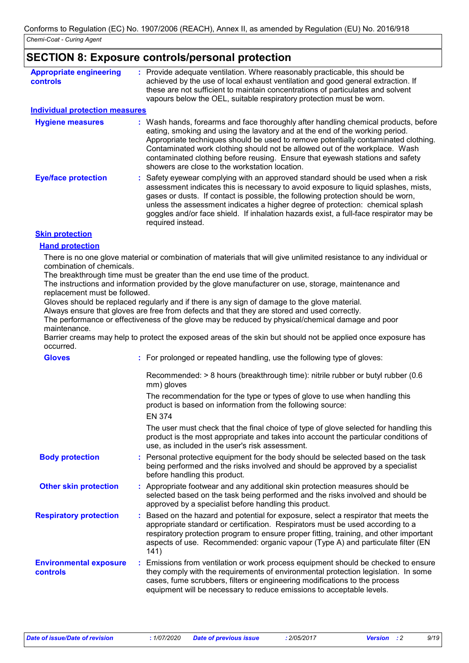### **SECTION 8: Exposure controls/personal protection**

| <b>Appropriate engineering</b><br><b>controls</b> | Provide adequate ventilation. Where reasonably practicable, this should be<br>achieved by the use of local exhaust ventilation and good general extraction. If<br>these are not sufficient to maintain concentrations of particulates and solvent<br>vapours below the OEL, suitable respiratory protection must be worn.                                                                                                                                                   |
|---------------------------------------------------|-----------------------------------------------------------------------------------------------------------------------------------------------------------------------------------------------------------------------------------------------------------------------------------------------------------------------------------------------------------------------------------------------------------------------------------------------------------------------------|
| <b>Individual protection measures</b>             |                                                                                                                                                                                                                                                                                                                                                                                                                                                                             |
| <b>Hygiene measures</b>                           | : Wash hands, forearms and face thoroughly after handling chemical products, before<br>eating, smoking and using the lavatory and at the end of the working period.<br>Appropriate techniques should be used to remove potentially contaminated clothing.<br>Contaminated work clothing should not be allowed out of the workplace. Wash<br>contaminated clothing before reusing. Ensure that eyewash stations and safety<br>showers are close to the workstation location. |
| <b>Eye/face protection</b>                        | : Safety eyewear complying with an approved standard should be used when a risk<br>assessment indicates this is necessary to avoid exposure to liquid splashes, mists,<br>gases or dusts. If contact is possible, the following protection should be worn,<br>unless the assessment indicates a higher degree of protection: chemical splash<br>goggles and/or face shield. If inhalation hazards exist, a full-face respirator may be<br>required instead.                 |
| <b>Skin protection</b>                            |                                                                                                                                                                                                                                                                                                                                                                                                                                                                             |

### **Hand protection**

There is no one glove material or combination of materials that will give unlimited resistance to any individual or combination of chemicals.

The breakthrough time must be greater than the end use time of the product.

The instructions and information provided by the glove manufacturer on use, storage, maintenance and replacement must be followed.

Gloves should be replaced regularly and if there is any sign of damage to the glove material.

Always ensure that gloves are free from defects and that they are stored and used correctly.

The performance or effectiveness of the glove may be reduced by physical/chemical damage and poor maintenance.

Barrier creams may help to protect the exposed areas of the skin but should not be applied once exposure has occurred.

| <b>Gloves</b>                             | : For prolonged or repeated handling, use the following type of gloves:                                                                                                                                                                                                                                                                                     |
|-------------------------------------------|-------------------------------------------------------------------------------------------------------------------------------------------------------------------------------------------------------------------------------------------------------------------------------------------------------------------------------------------------------------|
|                                           | Recommended: $> 8$ hours (breakthrough time): nitrile rubber or butyl rubber (0.6<br>mm) gloves                                                                                                                                                                                                                                                             |
|                                           | The recommendation for the type or types of glove to use when handling this<br>product is based on information from the following source:                                                                                                                                                                                                                   |
|                                           | <b>EN 374</b>                                                                                                                                                                                                                                                                                                                                               |
|                                           | The user must check that the final choice of type of glove selected for handling this<br>product is the most appropriate and takes into account the particular conditions of<br>use, as included in the user's risk assessment.                                                                                                                             |
| <b>Body protection</b>                    | : Personal protective equipment for the body should be selected based on the task<br>being performed and the risks involved and should be approved by a specialist<br>before handling this product.                                                                                                                                                         |
| <b>Other skin protection</b>              | : Appropriate footwear and any additional skin protection measures should be<br>selected based on the task being performed and the risks involved and should be<br>approved by a specialist before handling this product.                                                                                                                                   |
| <b>Respiratory protection</b>             | : Based on the hazard and potential for exposure, select a respirator that meets the<br>appropriate standard or certification. Respirators must be used according to a<br>respiratory protection program to ensure proper fitting, training, and other important<br>aspects of use. Recommended: organic vapour (Type A) and particulate filter (EN<br>141) |
| <b>Environmental exposure</b><br>controls | : Emissions from ventilation or work process equipment should be checked to ensure<br>they comply with the requirements of environmental protection legislation. In some<br>cases, fume scrubbers, filters or engineering modifications to the process<br>equipment will be necessary to reduce emissions to acceptable levels.                             |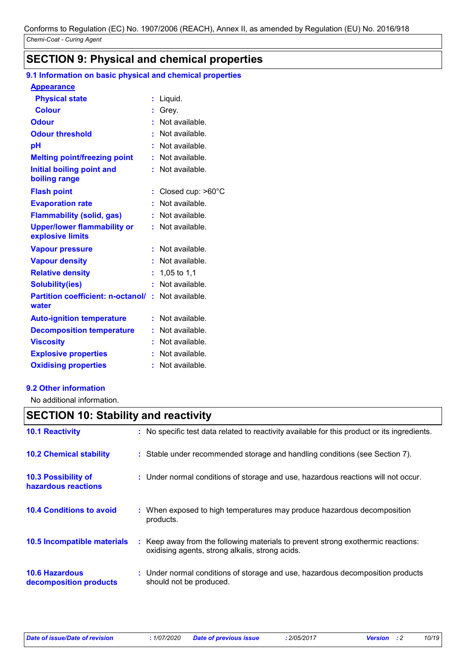# **SECTION 9: Physical and chemical properties**

# **9.1 Information on basic physical and chemical properties**

### **Appearance**

| <b>Physical state</b>                                  |    | Liquid.           |
|--------------------------------------------------------|----|-------------------|
| <b>Colour</b>                                          |    | Grey.             |
| <b>Odour</b>                                           |    | Not available.    |
| <b>Odour threshold</b>                                 |    | Not available.    |
| рH                                                     |    | Not available.    |
| <b>Melting point/freezing point</b>                    | ÷. | Not available.    |
| Initial boiling point and<br>boiling range             |    | Not available.    |
| <b>Flash point</b>                                     |    | Closed cup: >60°C |
| <b>Evaporation rate</b>                                |    | Not available.    |
| <b>Flammability (solid, gas)</b>                       |    | Not available.    |
| <b>Upper/lower flammability or</b><br>explosive limits |    | Not available.    |
| <b>Vapour pressure</b>                                 |    | Not available.    |
| <b>Vapour density</b>                                  |    | Not available.    |
| <b>Relative density</b>                                | ÷  | 1,05 to 1,1       |
| <b>Solubility(ies)</b>                                 | ÷  | Not available.    |
| <b>Partition coefficient: n-octanol/:</b><br>water     |    | Not available.    |
| <b>Auto-ignition temperature</b>                       |    | : Not available.  |
| <b>Decomposition temperature</b>                       |    | Not available.    |
| <b>Viscosity</b>                                       |    | Not available.    |
| <b>Explosive properties</b>                            |    | Not available.    |
| <b>Oxidising properties</b>                            |    | Not available.    |

### **9.2 Other information**

No additional information.

# **SECTION 10: Stability and reactivity**

| <b>10.1 Reactivity</b>                            | : No specific test data related to reactivity available for this product or its ingredients.                                        |
|---------------------------------------------------|-------------------------------------------------------------------------------------------------------------------------------------|
| <b>10.2 Chemical stability</b>                    | : Stable under recommended storage and handling conditions (see Section 7).                                                         |
| <b>10.3 Possibility of</b><br>hazardous reactions | : Under normal conditions of storage and use, hazardous reactions will not occur.                                                   |
| <b>10.4 Conditions to avoid</b>                   | : When exposed to high temperatures may produce hazardous decomposition<br>products.                                                |
| 10.5 Incompatible materials                       | : Keep away from the following materials to prevent strong exothermic reactions:<br>oxidising agents, strong alkalis, strong acids. |
| <b>10.6 Hazardous</b><br>decomposition products   | : Under normal conditions of storage and use, hazardous decomposition products<br>should not be produced.                           |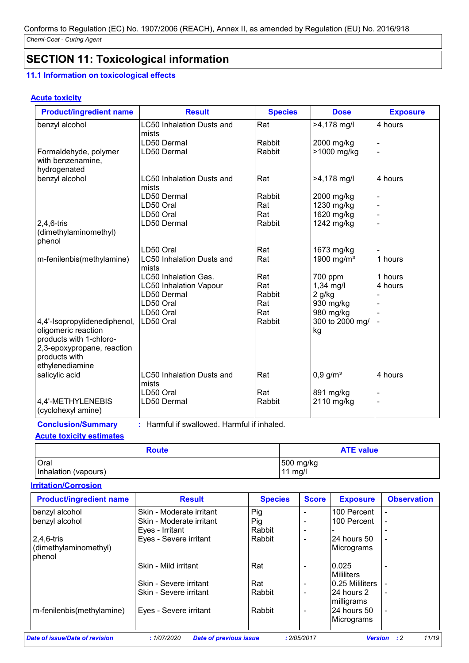# **SECTION 11: Toxicological information**

## **11.1 Information on toxicological effects**

### **Acute toxicity**

| <b>Product/ingredient name</b><br><b>Result</b>    |                                  | <b>Species</b> | <b>Dose</b>            | <b>Exposure</b> |  |
|----------------------------------------------------|----------------------------------|----------------|------------------------|-----------------|--|
| <b>LC50 Inhalation Dusts and</b><br>benzyl alcohol |                                  | Rat            | >4,178 mg/l            | 4 hours         |  |
|                                                    | mists                            |                |                        |                 |  |
|                                                    | LD50 Dermal                      | Rabbit         | 2000 mg/kg             |                 |  |
| Formaldehyde, polymer                              | LD50 Dermal                      | Rabbit         | >1000 mg/kg            |                 |  |
| with benzenamine,                                  |                                  |                |                        |                 |  |
| hydrogenated                                       |                                  |                |                        |                 |  |
| benzyl alcohol                                     | <b>LC50 Inhalation Dusts and</b> | Rat            | >4,178 mg/l            | 4 hours         |  |
|                                                    | mists                            |                |                        |                 |  |
|                                                    | LD50 Dermal                      | Rabbit         | 2000 mg/kg             |                 |  |
|                                                    | LD50 Oral                        | Rat            | 1230 mg/kg             |                 |  |
|                                                    | LD50 Oral                        | Rat            | 1620 mg/kg             |                 |  |
| $2,4,6$ -tris                                      | LD50 Dermal                      | Rabbit         | 1242 mg/kg             |                 |  |
| (dimethylaminomethyl)                              |                                  |                |                        |                 |  |
| phenol                                             |                                  |                |                        |                 |  |
|                                                    | LD50 Oral                        | Rat            | 1673 mg/kg             |                 |  |
| m-fenilenbis(methylamine)                          | <b>LC50 Inhalation Dusts and</b> | Rat            | 1900 mg/ $m3$          | 1 hours         |  |
|                                                    | mists                            |                |                        |                 |  |
|                                                    | <b>LC50 Inhalation Gas.</b>      | Rat            | 700 ppm                | 1 hours         |  |
|                                                    | <b>LC50 Inhalation Vapour</b>    | Rat            | $1,34$ mg/l            | 4 hours         |  |
|                                                    | LD50 Dermal                      | Rabbit         | $2$ g/kg               |                 |  |
|                                                    | LD50 Oral                        | Rat            | 930 mg/kg              |                 |  |
|                                                    | LD50 Oral                        | Rat            | 980 mg/kg              |                 |  |
| 4,4'-Isopropylidenediphenol,                       | LD50 Oral                        | Rabbit         | 300 to 2000 mg/        |                 |  |
| oligomeric reaction                                |                                  |                | kg                     |                 |  |
| products with 1-chloro-                            |                                  |                |                        |                 |  |
| 2,3-epoxypropane, reaction                         |                                  |                |                        |                 |  |
| products with                                      |                                  |                |                        |                 |  |
| ethylenediamine                                    |                                  |                |                        |                 |  |
| salicylic acid                                     | LC50 Inhalation Dusts and        | Rat            | $0,9$ g/m <sup>3</sup> | 4 hours         |  |
|                                                    | mists                            |                |                        |                 |  |
|                                                    | LD50 Oral                        | Rat            | 891 mg/kg              |                 |  |
| 4,4'-METHYLENEBIS                                  | LD50 Dermal                      | Rabbit         | 2110 mg/kg             |                 |  |
| (cyclohexyl amine)                                 |                                  |                |                        |                 |  |

**Conclusion/Summary :** Harmful if swallowed. Harmful if inhaled. **Acute toxicity estimates**

| <b>Route</b>         | <b>ATE value</b> |
|----------------------|------------------|
| Oral                 | 500 mg/kg        |
| Inhalation (vapours) | 11 mg/l          |

### **Irritation/Corrosion**

| <b>Product/ingredient name</b>         | <b>Result</b>                               | <b>Species</b> | <b>Score</b>             | <b>Exposure</b>             | <b>Observation</b>   |
|----------------------------------------|---------------------------------------------|----------------|--------------------------|-----------------------------|----------------------|
| benzyl alcohol                         | Skin - Moderate irritant                    | Pig            |                          | 100 Percent                 |                      |
| benzyl alcohol                         | Skin - Moderate irritant                    | Pig            |                          | 100 Percent                 |                      |
|                                        | Eyes - Irritant                             | Rabbit         |                          |                             |                      |
| $2,4,6$ -tris<br>(dimethylaminomethyl) | Eyes - Severe irritant                      | Rabbit         | $\overline{\phantom{0}}$ | 24 hours 50<br> Micrograms  |                      |
| phenol                                 | Skin - Mild irritant                        | Rat            |                          | 10.025<br>Mililiters        |                      |
|                                        | Skin - Severe irritant                      | Rat            | $\overline{\phantom{0}}$ | 10.25 Mililiters            |                      |
|                                        | Skin - Severe irritant                      | Rabbit         |                          | 24 hours 2<br>milligrams    |                      |
| m-fenilenbis(methylamine)              | Eyes - Severe irritant                      | Rabbit         |                          | I24 hours 50<br> Micrograms |                      |
| Date of issue/Date of revision         | <b>Date of previous issue</b><br>:1/07/2020 |                | : 2/05/2017              | <b>Version</b>              | 11/19<br>$\cdot$ : 2 |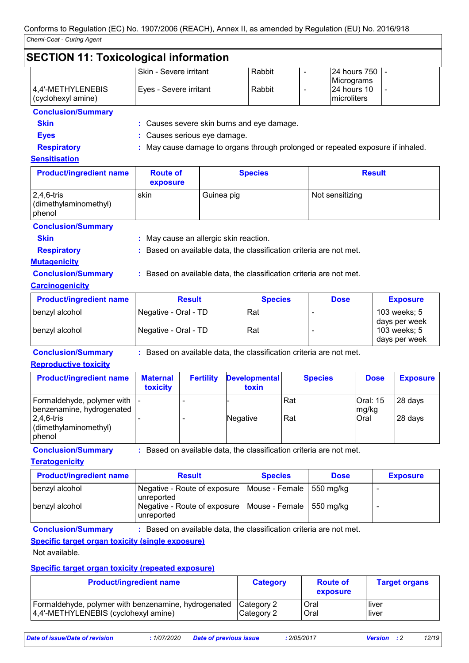### **SECTION 11: Toxicological information**

|                            | Skin - Severe irritant | Rabbit | <b>24 hours 750 L-</b> |  |
|----------------------------|------------------------|--------|------------------------|--|
|                            |                        |        | Micrograms             |  |
| 4,4'-METHYLENEBIS          | Eyes - Severe irritant | Rabbit | 124 hours 10           |  |
| $\vert$ (cyclohexyl amine) |                        |        | <i>Imicroliters</i>    |  |

## **Conclusion/Summary**

**Skin :** Causes severe skin burns and eye damage.

**Eyes :** Causes serious eye damage.

**Respiratory :** May cause damage to organs through prolonged or repeated exposure if inhaled.

### **Sensitisation**

| <b>Product/ingredient name</b>                   | <b>Route of</b><br>exposure | <b>Species</b> | <b>Result</b>   |
|--------------------------------------------------|-----------------------------|----------------|-----------------|
| $2,4,6$ -tris<br>(dimethylaminomethyl)<br>phenol | skin                        | Guinea pig     | Not sensitizing |

### **Conclusion/Summary**

**Skin Skin :** May cause an allergic skin reaction.

**Respiratory <b>:** Based on available data, the classification criteria are not met.

### **Mutagenicity**

**Conclusion/Summary :** Based on available data, the classification criteria are not met.

### **Carcinogenicity**

| <b>Product/ingredient name</b> | <b>Result</b>        | <b>Species</b> | <b>Dose</b>              | <b>Exposure</b>               |
|--------------------------------|----------------------|----------------|--------------------------|-------------------------------|
| benzyl alcohol                 | Negative - Oral - TD | Rat            | $\overline{\phantom{0}}$ | 103 weeks; 5                  |
| benzyl alcohol                 | Negative - Oral - TD | Rat            |                          | days per week<br>103 weeks; 5 |
|                                |                      |                |                          | days per week                 |

**Conclusion/Summary :** Based on available data, the classification criteria are not met.

### **Reproductive toxicity**

| <b>Product/ingredient name</b>                                                                                               | <b>Maternal</b><br>toxicity | <b>Fertility</b> | <b>Developmental</b><br>toxin | <b>Species</b> | <b>Dose</b>               | <b>Exposure</b>    |
|------------------------------------------------------------------------------------------------------------------------------|-----------------------------|------------------|-------------------------------|----------------|---------------------------|--------------------|
| Formaldehyde, polymer with   -<br>  benzenamine, hydrogenated  <br>$2,4,6$ -tris<br>(dimethylaminomethyl)<br><b>I</b> phenol |                             | -                | Negative                      | l Rat<br>l Rat | Oral: 15<br>mg/kg<br>Oral | 28 days<br>28 days |

**Conclusion/Summary :** Based on available data, the classification criteria are not met.

### **Teratogenicity**

| <b>Product/ingredient name</b> | <b>Result</b>                                                           | <b>Species</b> | <b>Dose</b> | <b>Exposure</b> |
|--------------------------------|-------------------------------------------------------------------------|----------------|-------------|-----------------|
| benzyl alcohol                 | Negative - Route of exposure   Mouse - Female   550 mg/kg<br>unreported |                |             |                 |
| benzyl alcohol                 | Negative - Route of exposure   Mouse - Female   550 mg/kg<br>unreported |                |             |                 |

**Conclusion/Summary :** Based on available data, the classification criteria are not met.

### **Specific target organ toxicity (single exposure)**

Not available.

### **Specific target organ toxicity (repeated exposure)**

| <b>Product/ingredient name</b>                       | <b>Category</b> | <b>Route of</b><br>exposure | <b>Target organs</b> |
|------------------------------------------------------|-----------------|-----------------------------|----------------------|
| Formaldehyde, polymer with benzenamine, hydrogenated | l Category 2    | Oral                        | l liver              |
| 4,4'-METHYLENEBIS (cyclohexyl amine)                 | Category 2      | Oral                        | l liver              |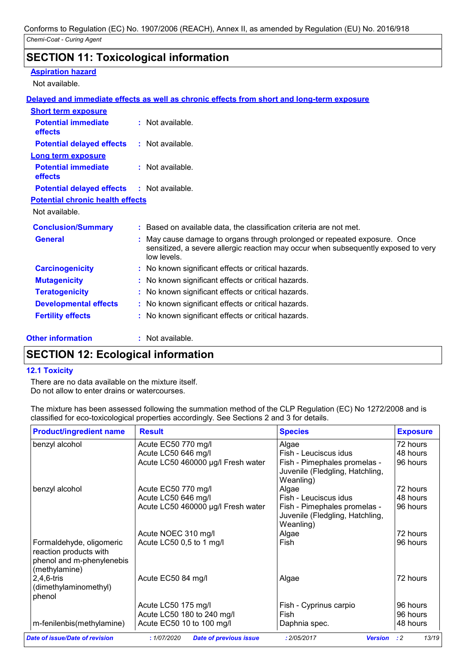## **SECTION 11: Toxicological information**

### **Aspiration hazard**

Not available.

### **Delayed and immediate effects as well as chronic effects from short and long-term exposure**

| <b>Short term exposure</b>                        |                                                                                                                                                                              |
|---------------------------------------------------|------------------------------------------------------------------------------------------------------------------------------------------------------------------------------|
| <b>Potential immediate</b><br><b>effects</b>      | $:$ Not available.                                                                                                                                                           |
| <b>Potential delayed effects</b>                  | $:$ Not available.                                                                                                                                                           |
| <b>Long term exposure</b>                         |                                                                                                                                                                              |
| <b>Potential immediate</b><br>effects             | $:$ Not available.                                                                                                                                                           |
| <b>Potential delayed effects : Not available.</b> |                                                                                                                                                                              |
| <b>Potential chronic health effects</b>           |                                                                                                                                                                              |
| Not available.                                    |                                                                                                                                                                              |
| <b>Conclusion/Summary</b>                         | : Based on available data, the classification criteria are not met.                                                                                                          |
| <b>General</b>                                    | May cause damage to organs through prolonged or repeated exposure. Once<br>sensitized, a severe allergic reaction may occur when subsequently exposed to very<br>low levels. |
| <b>Carcinogenicity</b>                            | : No known significant effects or critical hazards.                                                                                                                          |
| <b>Mutagenicity</b>                               | : No known significant effects or critical hazards.                                                                                                                          |
| <b>Teratogenicity</b>                             | : No known significant effects or critical hazards.                                                                                                                          |
| <b>Developmental effects</b>                      | : No known significant effects or critical hazards.                                                                                                                          |
| <b>Fertility effects</b>                          | : No known significant effects or critical hazards.                                                                                                                          |

### **Other information :**

: Not available.

### **SECTION 12: Ecological information**

### **12.1 Toxicity**

There are no data available on the mixture itself. Do not allow to enter drains or watercourses.

The mixture has been assessed following the summation method of the CLP Regulation (EC) No 1272/2008 and is classified for eco-toxicological properties accordingly. See Sections 2 and 3 for details.

| <b>Product/ingredient name</b> | <b>Result</b>                      | <b>Species</b>                  | <b>Exposure</b> |
|--------------------------------|------------------------------------|---------------------------------|-----------------|
| benzyl alcohol                 | Acute EC50 770 mg/l                | Algae                           | 72 hours        |
|                                | Acute LC50 646 mg/l                | Fish - Leuciscus idus           | 48 hours        |
|                                | Acute LC50 460000 µg/l Fresh water | Fish - Pimephales promelas -    | 96 hours        |
|                                |                                    | Juvenile (Fledgling, Hatchling, |                 |
|                                |                                    | Weanling)                       |                 |
| benzyl alcohol                 | Acute EC50 770 mg/l                | Algae                           | 72 hours        |
|                                | Acute LC50 646 mg/l                | Fish - Leuciscus idus           | 48 hours        |
|                                | Acute LC50 460000 µg/l Fresh water | Fish - Pimephales promelas -    | 96 hours        |
|                                |                                    | Juvenile (Fledgling, Hatchling, |                 |
|                                |                                    | Weanling)                       |                 |
|                                | Acute NOEC 310 mg/l                | Algae                           | 72 hours        |
| Formaldehyde, oligomeric       | Acute LC50 0,5 to 1 mg/l           | Fish                            | 96 hours        |
| reaction products with         |                                    |                                 |                 |
| phenol and m-phenylenebis      |                                    |                                 |                 |
| (methylamine)                  |                                    |                                 |                 |
| 2,4,6-tris                     | Acute EC50 84 mg/l                 | Algae                           | 72 hours        |
| (dimethylaminomethyl)          |                                    |                                 |                 |
| phenol                         |                                    |                                 |                 |
|                                | Acute LC50 175 mg/l                | Fish - Cyprinus carpio          | 96 hours        |
|                                | Acute LC50 180 to 240 mg/l         | Fish                            | 96 hours        |
| m-fenilenbis(methylamine)      | Acute EC50 10 to 100 mg/l          | Daphnia spec.                   | 48 hours        |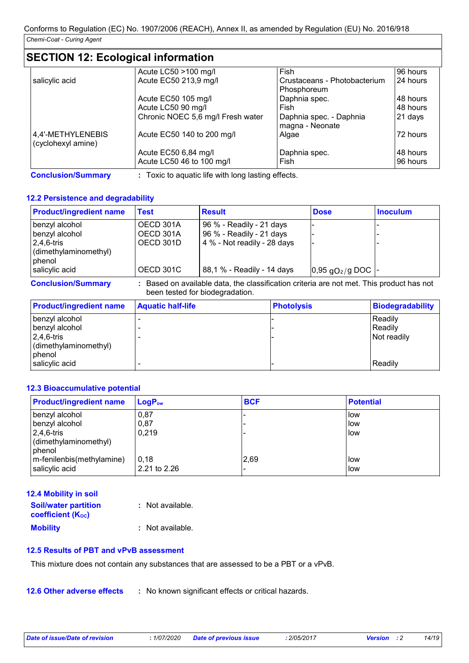# **SECTION 12: Ecological information**

|                    | Acute LC50 >100 mg/l              | Fish                         | 96 hours |
|--------------------|-----------------------------------|------------------------------|----------|
| salicylic acid     | Acute EC50 213,9 mg/l             | Crustaceans - Photobacterium | 24 hours |
|                    |                                   | Phosphoreum                  |          |
|                    | Acute EC50 105 mg/l               | Daphnia spec.                | 48 hours |
|                    | Acute LC50 90 mg/l                | Fish                         | 48 hours |
|                    | Chronic NOEC 5,6 mg/l Fresh water | Daphnia spec. - Daphnia      | 21 days  |
|                    |                                   | magna - Neonate              |          |
| 4,4'-METHYLENEBIS  | Acute EC50 140 to 200 mg/l        | Algae                        | 72 hours |
| (cyclohexyl amine) |                                   |                              |          |
|                    | Acute EC50 6,84 mg/l              | Daphnia spec.                | 48 hours |
|                    | Acute LC50 46 to 100 mg/l         | Fish                         | 96 hours |

**Conclusion/Summary :** Toxic to aquatic life with long lasting effects.

### **12.2 Persistence and degradability**

| <b>Product/ingredient name</b> | Test      | <b>Result</b>                                                                            | <b>Dose</b>                      | <b>Inoculum</b> |
|--------------------------------|-----------|------------------------------------------------------------------------------------------|----------------------------------|-----------------|
| benzyl alcohol                 | OECD 301A | 96 % - Readily - 21 days                                                                 |                                  |                 |
| benzyl alcohol                 | OECD 301A | 96 % - Readily - 21 days                                                                 |                                  |                 |
| $2,4,6$ -tris                  | OECD 301D | 4 % - Not readily - 28 days                                                              |                                  |                 |
| (dimethylaminomethyl)          |           |                                                                                          |                                  |                 |
| phenol                         |           |                                                                                          |                                  |                 |
| salicylic acid                 | OECD 301C | 88,1 % - Readily - 14 days                                                               | $0.95$ gO <sub>2</sub> /g DOC  - |                 |
| <b>Conclusion/Summary</b>      |           | : Based on available data, the classification criteria are not met. This product has not |                                  |                 |

| Biodegradability<br><b>Product/ingredient name</b>   Aquatic half-life<br><b>Photolysis</b> | been tested for biodegradation. |  |
|---------------------------------------------------------------------------------------------|---------------------------------|--|
|                                                                                             |                                 |  |

| <b>THE POSSE</b>                    | $\blacksquare$ | <u> HULVIYƏK</u> | <b>PROPRIGATION</b> |
|-------------------------------------|----------------|------------------|---------------------|
| benzyl alcohol                      |                |                  | Readily             |
| benzyl alcohol                      |                |                  | l Readilv           |
| $ 2,4,6$ -tris                      |                |                  | Not readily         |
| $\frac{1}{2}$ (dimethylaminomethyl) |                |                  |                     |
| phenol                              |                |                  |                     |
| salicylic acid                      |                |                  | Readily             |

### **12.3 Bioaccumulative potential**

| <b>Product/ingredient name</b> | $LogP_{ow}$  | <b>BCF</b>               | <b>Potential</b> |
|--------------------------------|--------------|--------------------------|------------------|
| benzyl alcohol                 | 0,87         | -                        | low              |
| benzyl alcohol                 | 0,87         | -                        | low              |
| $2,4,6$ -tris                  | 0,219        | -                        | low              |
| (dimethylaminomethyl)          |              |                          |                  |
| phenol                         |              |                          |                  |
| m-fenilenbis(methylamine)      | 0,18         | 2,69                     | low              |
| salicylic acid                 | 2.21 to 2.26 | $\overline{\phantom{0}}$ | low              |

### **12.4 Mobility in soil**

| <b>Soil/water partition</b> | : Not available.   |
|-----------------------------|--------------------|
| <b>coefficient (Koc)</b>    |                    |
| <b>Mobility</b>             | $:$ Not available. |

### **12.5 Results of PBT and vPvB assessment**

This mixture does not contain any substances that are assessed to be a PBT or a vPvB.

**12.6 Other adverse effects** : No known significant effects or critical hazards.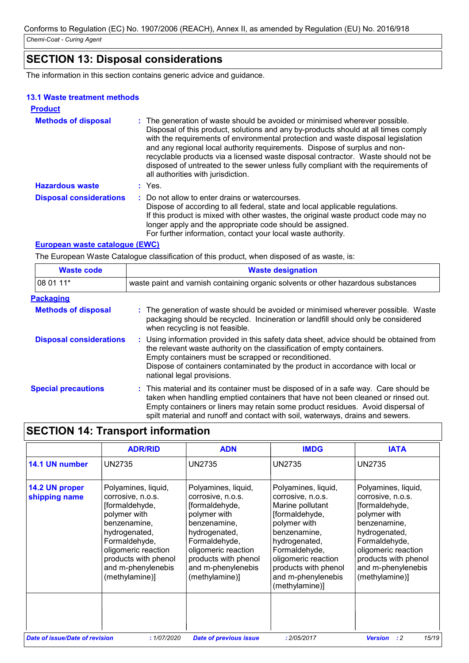# **SECTION 13: Disposal considerations**

The information in this section contains generic advice and guidance.

### **13.1 Waste treatment methods**

| <b>Product</b>                 |                                                                                                                                                                                                                                                                                                                                                                                                                                                                                                                                                      |                                                                                                                                                                                                                                                                                                                                                    |
|--------------------------------|------------------------------------------------------------------------------------------------------------------------------------------------------------------------------------------------------------------------------------------------------------------------------------------------------------------------------------------------------------------------------------------------------------------------------------------------------------------------------------------------------------------------------------------------------|----------------------------------------------------------------------------------------------------------------------------------------------------------------------------------------------------------------------------------------------------------------------------------------------------------------------------------------------------|
| <b>Methods of disposal</b>     | : The generation of waste should be avoided or minimised wherever possible.<br>Disposal of this product, solutions and any by-products should at all times comply<br>with the requirements of environmental protection and waste disposal legislation<br>and any regional local authority requirements. Dispose of surplus and non-<br>recyclable products via a licensed waste disposal contractor. Waste should not be<br>disposed of untreated to the sewer unless fully compliant with the requirements of<br>all authorities with jurisdiction. |                                                                                                                                                                                                                                                                                                                                                    |
| <b>Hazardous waste</b>         |                                                                                                                                                                                                                                                                                                                                                                                                                                                                                                                                                      | : Yes.                                                                                                                                                                                                                                                                                                                                             |
| <b>Disposal considerations</b> |                                                                                                                                                                                                                                                                                                                                                                                                                                                                                                                                                      | : Do not allow to enter drains or watercourses.<br>Dispose of according to all federal, state and local applicable regulations.<br>If this product is mixed with other wastes, the original waste product code may no<br>longer apply and the appropriate code should be assigned.<br>For further information, contact your local waste authority. |

### **European waste catalogue (EWC)**

The European Waste Catalogue classification of this product, when disposed of as waste, is:

| <b>Waste code</b>              | <b>Waste designation</b><br>waste paint and varnish containing organic solvents or other hazardous substances                                                                                                                                                                                                                                |  |  |
|--------------------------------|----------------------------------------------------------------------------------------------------------------------------------------------------------------------------------------------------------------------------------------------------------------------------------------------------------------------------------------------|--|--|
| 08 01 11*                      |                                                                                                                                                                                                                                                                                                                                              |  |  |
| <b>Packaging</b>               |                                                                                                                                                                                                                                                                                                                                              |  |  |
| <b>Methods of disposal</b>     | : The generation of waste should be avoided or minimised wherever possible. Waste<br>packaging should be recycled. Incineration or landfill should only be considered<br>when recycling is not feasible.                                                                                                                                     |  |  |
| <b>Disposal considerations</b> | : Using information provided in this safety data sheet, advice should be obtained from<br>the relevant waste authority on the classification of empty containers.<br>Empty containers must be scrapped or reconditioned.<br>Dispose of containers contaminated by the product in accordance with local or<br>national legal provisions.      |  |  |
| <b>Special precautions</b>     | : This material and its container must be disposed of in a safe way. Care should be<br>taken when handling emptied containers that have not been cleaned or rinsed out.<br>Empty containers or liners may retain some product residues. Avoid dispersal of<br>spilt material and runoff and contact with soil, waterways, drains and sewers. |  |  |

# **SECTION 14: Transport information**

|                                       | <b>ADR/RID</b>                                                                                                                                                                                                      | <b>ADN</b>                                                                                                                                                                                                          | <b>IMDG</b>                                                                                                                                                                                                                             | <b>IATA</b>                                                                                                                                                                                                         |
|---------------------------------------|---------------------------------------------------------------------------------------------------------------------------------------------------------------------------------------------------------------------|---------------------------------------------------------------------------------------------------------------------------------------------------------------------------------------------------------------------|-----------------------------------------------------------------------------------------------------------------------------------------------------------------------------------------------------------------------------------------|---------------------------------------------------------------------------------------------------------------------------------------------------------------------------------------------------------------------|
| 14.1 UN number                        | <b>UN2735</b>                                                                                                                                                                                                       | UN2735                                                                                                                                                                                                              | <b>UN2735</b>                                                                                                                                                                                                                           | <b>UN2735</b>                                                                                                                                                                                                       |
| 14.2 UN proper<br>shipping name       | Polyamines, liquid,<br>corrosive, n.o.s.<br>[formaldehyde,<br>polymer with<br>benzenamine,<br>hydrogenated,<br>Formaldehyde,<br>oligomeric reaction<br>products with phenol<br>and m-phenylenebis<br>(methylamine)] | Polyamines, liquid,<br>corrosive, n.o.s.<br>[formaldehyde,<br>polymer with<br>benzenamine,<br>hydrogenated,<br>Formaldehyde,<br>oligomeric reaction<br>products with phenol<br>and m-phenylenebis<br>(methylamine)] | Polyamines, liquid,<br>corrosive, n.o.s.<br>Marine pollutant<br>[formaldehyde,<br>polymer with<br>benzenamine,<br>hydrogenated,<br>Formaldehyde,<br>oligomeric reaction<br>products with phenol<br>and m-phenylenebis<br>(methylamine)] | Polyamines, liquid,<br>corrosive, n.o.s.<br>[formaldehyde,<br>polymer with<br>benzenamine,<br>hydrogenated,<br>Formaldehyde,<br>oligomeric reaction<br>products with phenol<br>and m-phenylenebis<br>(methylamine)] |
| <b>Date of issue/Date of revision</b> | : 1/07/2020                                                                                                                                                                                                         | <b>Date of previous issue</b>                                                                                                                                                                                       | : 2/05/2017                                                                                                                                                                                                                             | 15/19<br><b>Version</b><br>: 2                                                                                                                                                                                      |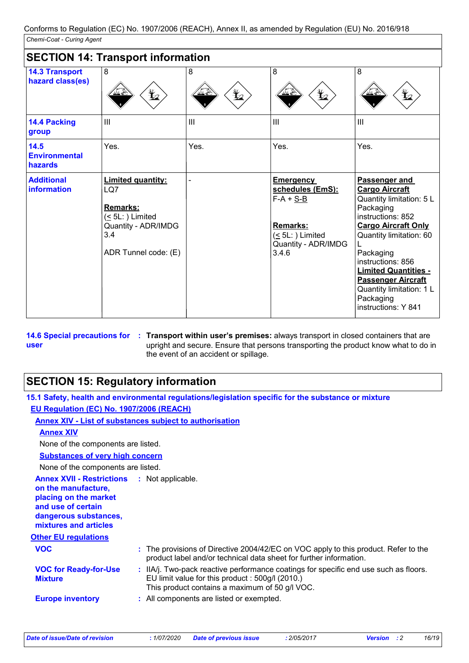| <b>SECTION 14: Transport information</b>  |                                                                                                                              |                 |                                                                                                                                  |                                                                                                                                                                                                                                                                                                                             |
|-------------------------------------------|------------------------------------------------------------------------------------------------------------------------------|-----------------|----------------------------------------------------------------------------------------------------------------------------------|-----------------------------------------------------------------------------------------------------------------------------------------------------------------------------------------------------------------------------------------------------------------------------------------------------------------------------|
| <b>14.3 Transport</b><br>hazard class(es) | 8<br>q                                                                                                                       | 8<br>$\bigstar$ | 8<br>$\bigstar$                                                                                                                  | 8<br>$\bigstar$                                                                                                                                                                                                                                                                                                             |
| 14.4 Packing<br>group                     | III                                                                                                                          | $\mathbf{III}$  | III                                                                                                                              | $\mathbf{III}$                                                                                                                                                                                                                                                                                                              |
| 14.5<br><b>Environmental</b><br>hazards   | Yes.                                                                                                                         | Yes.            | Yes.                                                                                                                             | Yes.                                                                                                                                                                                                                                                                                                                        |
| <b>Additional</b><br>information          | <b>Limited quantity:</b><br>LQ7<br><b>Remarks:</b><br>$(5L:$ ) Limited<br>Quantity - ADR/IMDG<br>3.4<br>ADR Tunnel code: (E) |                 | <b>Emergency</b><br>schedules (EmS):<br>$F-A + S-B$<br><b>Remarks:</b><br>$( \leq 5L: )$ Limited<br>Quantity - ADR/IMDG<br>3.4.6 | Passenger and<br><b>Cargo Aircraft</b><br>Quantity limitation: 5 L<br>Packaging<br>instructions: 852<br><b>Cargo Aircraft Only</b><br>Quantity limitation: 60<br>Packaging<br>instructions: 856<br><b>Limited Quantities -</b><br><b>Passenger Aircraft</b><br>Quantity limitation: 1 L<br>Packaging<br>instructions: Y 841 |

**14.6 Special precautions for user Transport within user's premises:** always transport in closed containers that are **:** upright and secure. Ensure that persons transporting the product know what to do in the event of an accident or spillage.

# **SECTION 15: Regulatory information**

|                                                                                                                                                                            | 15.1 Safety, health and environmental regulations/legislation specific for the substance or mixture                                                                                        |
|----------------------------------------------------------------------------------------------------------------------------------------------------------------------------|--------------------------------------------------------------------------------------------------------------------------------------------------------------------------------------------|
| EU Regulation (EC) No. 1907/2006 (REACH)                                                                                                                                   |                                                                                                                                                                                            |
|                                                                                                                                                                            | <b>Annex XIV - List of substances subject to authorisation</b>                                                                                                                             |
| <b>Annex XIV</b>                                                                                                                                                           |                                                                                                                                                                                            |
| None of the components are listed.                                                                                                                                         |                                                                                                                                                                                            |
| <b>Substances of very high concern</b>                                                                                                                                     |                                                                                                                                                                                            |
| None of the components are listed.                                                                                                                                         |                                                                                                                                                                                            |
| <b>Annex XVII - Restrictions : Not applicable.</b><br>on the manufacture,<br>placing on the market<br>and use of certain<br>dangerous substances,<br>mixtures and articles |                                                                                                                                                                                            |
| <b>Other EU regulations</b>                                                                                                                                                |                                                                                                                                                                                            |
| <b>VOC</b>                                                                                                                                                                 | : The provisions of Directive 2004/42/EC on VOC apply to this product. Refer to the<br>product label and/or technical data sheet for further information.                                  |
| <b>VOC for Ready-for-Use</b><br><b>Mixture</b>                                                                                                                             | : IIA/j. Two-pack reactive performance coatings for specific end use such as floors.<br>EU limit value for this product : 500g/l (2010.)<br>This product contains a maximum of 50 g/l VOC. |
| <b>Europe inventory</b>                                                                                                                                                    | : All components are listed or exempted.                                                                                                                                                   |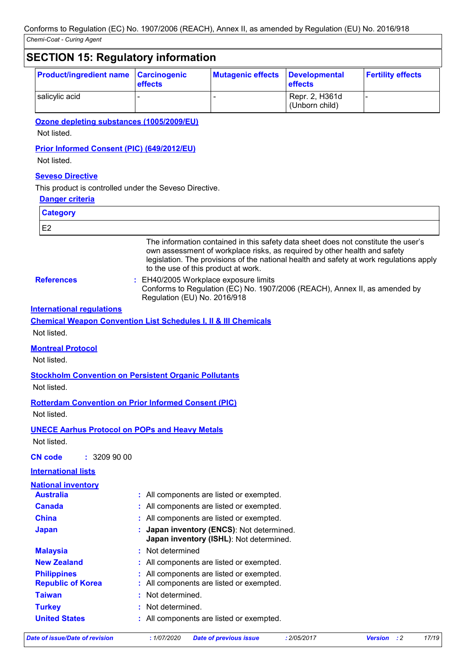# **SECTION 15: Regulatory information**

| <b>Product/ingredient name Carcinogenic</b> | <b>effects</b> | <b>Mutagenic effects</b> | Developmental<br><b>effects</b>  | <b>Fertility effects</b> |
|---------------------------------------------|----------------|--------------------------|----------------------------------|--------------------------|
| salicylic acid                              |                |                          | Repr. 2, H361d<br>(Unborn child) |                          |

### **Ozone depleting substances (1005/2009/EU)**

Not listed.

### **Prior Informed Consent (PIC) (649/2012/EU)**

Not listed.

### **Seveso Directive**

This product is controlled under the Seveso Directive.

#### **Danger criteria**

| <b>Category</b>                                |                                                                                                                                                                                                                                                                                                   |
|------------------------------------------------|---------------------------------------------------------------------------------------------------------------------------------------------------------------------------------------------------------------------------------------------------------------------------------------------------|
| E <sub>2</sub>                                 |                                                                                                                                                                                                                                                                                                   |
|                                                | The information contained in this safety data sheet does not constitute the user's<br>own assessment of workplace risks, as required by other health and safety<br>legislation. The provisions of the national health and safety at work regulations apply<br>to the use of this product at work. |
| <b>References</b>                              | EH40/2005 Workplace exposure limits<br>Conforms to Regulation (EC) No. 1907/2006 (REACH), Annex II, as amended by<br>Regulation (EU) No. 2016/918                                                                                                                                                 |
| <b>International requlations</b>               |                                                                                                                                                                                                                                                                                                   |
|                                                | <b>Chemical Weapon Convention List Schedules I, II &amp; III Chemicals</b>                                                                                                                                                                                                                        |
| Not listed.                                    |                                                                                                                                                                                                                                                                                                   |
| <b>Montreal Protocol</b>                       |                                                                                                                                                                                                                                                                                                   |
| Not listed.                                    |                                                                                                                                                                                                                                                                                                   |
|                                                | <b>Stockholm Convention on Persistent Organic Pollutants</b>                                                                                                                                                                                                                                      |
| Not listed.                                    |                                                                                                                                                                                                                                                                                                   |
|                                                | <b>Rotterdam Convention on Prior Informed Consent (PIC)</b>                                                                                                                                                                                                                                       |
| Not listed.                                    |                                                                                                                                                                                                                                                                                                   |
|                                                | <b>UNECE Aarhus Protocol on POPs and Heavy Metals</b>                                                                                                                                                                                                                                             |
| Not listed.                                    |                                                                                                                                                                                                                                                                                                   |
| : 3209900<br><b>CN code</b>                    |                                                                                                                                                                                                                                                                                                   |
| <b>International lists</b>                     |                                                                                                                                                                                                                                                                                                   |
| <b>National inventory</b>                      |                                                                                                                                                                                                                                                                                                   |
| <b>Australia</b>                               | : All components are listed or exempted.                                                                                                                                                                                                                                                          |
| <b>Canada</b>                                  | : All components are listed or exempted.                                                                                                                                                                                                                                                          |
| <b>China</b>                                   | : All components are listed or exempted.                                                                                                                                                                                                                                                          |
| <b>Japan</b>                                   | : Japan inventory (ENCS): Not determined.<br>Japan inventory (ISHL): Not determined.                                                                                                                                                                                                              |
| <b>Malaysia</b>                                | : Not determined                                                                                                                                                                                                                                                                                  |
| <b>New Zealand</b>                             | All components are listed or exempted.                                                                                                                                                                                                                                                            |
| <b>Philippines</b><br><b>Republic of Korea</b> | : All components are listed or exempted.<br>All components are listed or exempted.                                                                                                                                                                                                                |
| <b>Taiwan</b>                                  | Not determined.                                                                                                                                                                                                                                                                                   |
| <b>Turkey</b>                                  | Not determined.                                                                                                                                                                                                                                                                                   |
| <b>United States</b>                           | : All components are listed or exempted.                                                                                                                                                                                                                                                          |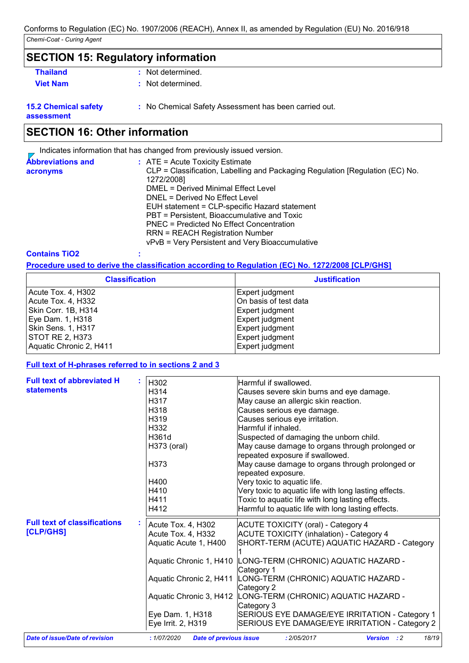## **SECTION 15: Regulatory information**

- **Thailand :** Not determined.
- 
- 
- **Viet Nam :** Not determined.

**15.2 Chemical safety assessment**

**:** No Chemical Safety Assessment has been carried out.

## **SECTION 16: Other information**

Indicates information that has changed from previously issued version.

| <b>Abbreviations and</b> | $:$ ATE = Acute Toxicity Estimate                                                           |
|--------------------------|---------------------------------------------------------------------------------------------|
| acronyms                 | CLP = Classification, Labelling and Packaging Regulation [Regulation (EC) No.<br>1272/2008] |
|                          | DMEL = Derived Minimal Effect Level                                                         |
|                          | DNEL = Derived No Effect Level                                                              |
|                          | EUH statement = CLP-specific Hazard statement                                               |
|                          | PBT = Persistent, Bioaccumulative and Toxic                                                 |
|                          | PNEC = Predicted No Effect Concentration                                                    |
|                          | <b>RRN = REACH Registration Number</b>                                                      |
|                          | vPvB = Very Persistent and Very Bioaccumulative                                             |
|                          |                                                                                             |

#### **Contains TiO2 :**

**Procedure used to derive the classification according to Regulation (EC) No. 1272/2008 [CLP/GHS]**

| <b>Classification</b>   | <b>Justification</b>  |
|-------------------------|-----------------------|
| Acute Tox. 4, H302      | Expert judgment       |
| Acute Tox. 4, H332      | On basis of test data |
| Skin Corr. 1B, H314     | Expert judgment       |
| Eye Dam. 1, H318        | Expert judgment       |
| Skin Sens. 1, H317      | Expert judgment       |
| <b>STOT RE 2, H373</b>  | Expert judgment       |
| Aquatic Chronic 2, H411 | Expert judgment       |

#### **Full text of H-phrases referred to in sections 2 and 3**

| <b>Full text of abbreviated H</b>     | H302                                        | Harmful if swallowed.                                                              |
|---------------------------------------|---------------------------------------------|------------------------------------------------------------------------------------|
| <b>statements</b>                     | H314                                        | Causes severe skin burns and eye damage.                                           |
|                                       | H317                                        |                                                                                    |
|                                       |                                             | May cause an allergic skin reaction.                                               |
|                                       | H318                                        | Causes serious eye damage.                                                         |
|                                       | H319                                        | Causes serious eye irritation.                                                     |
|                                       | H332                                        | Harmful if inhaled.                                                                |
|                                       | H361d                                       | Suspected of damaging the unborn child.                                            |
|                                       | H373 (oral)                                 | May cause damage to organs through prolonged or<br>repeated exposure if swallowed. |
|                                       | H373                                        | May cause damage to organs through prolonged or<br>repeated exposure.              |
|                                       | H400                                        | Very toxic to aquatic life.                                                        |
|                                       | H410                                        | Very toxic to aquatic life with long lasting effects.                              |
|                                       | H411                                        | Toxic to aquatic life with long lasting effects.                                   |
|                                       | H412                                        | Harmful to aquatic life with long lasting effects.                                 |
| <b>Full text of classifications</b>   | Acute Tox. 4, H302                          | <b>ACUTE TOXICITY (oral) - Category 4</b>                                          |
| [CLP/GHS]                             | Acute Tox. 4, H332                          | <b>ACUTE TOXICITY (inhalation) - Category 4</b>                                    |
|                                       | Aquatic Acute 1, H400                       | SHORT-TERM (ACUTE) AQUATIC HAZARD - Category                                       |
|                                       |                                             | Aquatic Chronic 1, H410 LONG-TERM (CHRONIC) AQUATIC HAZARD -<br>Category 1         |
|                                       | Aquatic Chronic 2, H411                     | LONG-TERM (CHRONIC) AQUATIC HAZARD -<br>Category 2                                 |
|                                       | Aquatic Chronic 3, H412                     | LONG-TERM (CHRONIC) AQUATIC HAZARD -<br>Category 3                                 |
|                                       | Eye Dam. 1, H318                            | SERIOUS EYE DAMAGE/EYE IRRITATION - Category 1                                     |
|                                       | Eye Irrit. 2, H319                          | SERIOUS EYE DAMAGE/EYE IRRITATION - Category 2                                     |
| <b>Date of issue/Date of revision</b> | <b>Date of previous issue</b><br>:1/07/2020 | 18/19<br>: 2/05/2017<br><b>Version</b> : 2                                         |